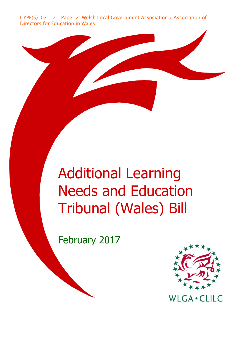CYPE(5)-07-17 – Paper 2: Welsh Local Government Association / Association of Directors for Education in Wales

# Additional Learning Needs and Education Tribunal (Wales) Bill

February 2017



**WLGA · CLILC**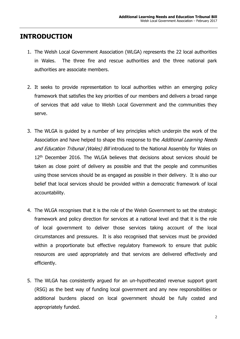# **INTRODUCTION**

- 1. The Welsh Local Government Association (WLGA) represents the 22 local authorities in Wales. The three fire and rescue authorities and the three national park authorities are associate members.
- 2. It seeks to provide representation to local authorities within an emerging policy framework that satisfies the key priorities of our members and delivers a broad range of services that add value to Welsh Local Government and the communities they serve.
- 3. The WLGA is guided by a number of key principles which underpin the work of the Association and have helped to shape this response to the *Additional Learning Needs* and Education Tribunal (Wales) Bill introduced to the National Assembly for Wales on 12<sup>th</sup> December 2016. The WLGA believes that decisions about services should be taken as close point of delivery as possible and that the people and communities using those services should be as engaged as possible in their delivery. It is also our belief that local services should be provided within a democratic framework of local accountability.
- 4. The WLGA recognises that it is the role of the Welsh Government to set the strategic framework and policy direction for services at a national level and that it is the role of local government to deliver those services taking account of the local circumstances and pressures. It is also recognised that services must be provided within a proportionate but effective regulatory framework to ensure that public resources are used appropriately and that services are delivered effectively and efficiently.
- 5. The WLGA has consistently argued for an un-hypothecated revenue support grant (RSG) as the best way of funding local government and any new responsibilities or additional burdens placed on local government should be fully costed and appropriately funded.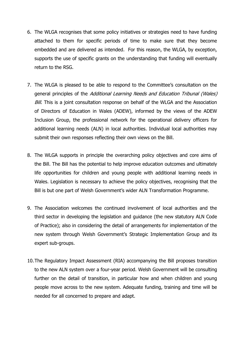- 6. The WLGA recognises that some policy initiatives or strategies need to have funding attached to them for specific periods of time to make sure that they become embedded and are delivered as intended. For this reason, the WLGA, by exception, supports the use of specific grants on the understanding that funding will eventually return to the RSG.
- 7. The WLGA is pleased to be able to respond to the Committee's consultation on the general principles of the Additional Learning Needs and Education Tribunal (Wales) Bill. This is a joint consultation response on behalf of the WLGA and the Association of Directors of Education in Wales (ADEW), informed by the views of the ADEW Inclusion Group, the professional network for the operational delivery officers for additional learning needs (ALN) in local authorities. Individual local authorities may submit their own responses reflecting their own views on the Bill.
- 8. The WLGA supports in principle the overarching policy objectives and core aims of the Bill. The Bill has the potential to help improve education outcomes and ultimately life opportunities for children and young people with additional learning needs in Wales. Legislation is necessary to achieve the policy objectives, recognising that the Bill is but one part of Welsh Government's wider ALN Transformation Programme.
- 9. The Association welcomes the continued involvement of local authorities and the third sector in developing the legislation and guidance (the new statutory ALN Code of Practice); also in considering the detail of arrangements for implementation of the new system through Welsh Government's Strategic Implementation Group and its expert sub-groups.
- 10.The Regulatory Impact Assessment (RIA) accompanying the Bill proposes transition to the new ALN system over a four-year period. Welsh Government will be consulting further on the detail of transition, in particular how and when children and young people move across to the new system. Adequate funding, training and time will be needed for all concerned to prepare and adapt.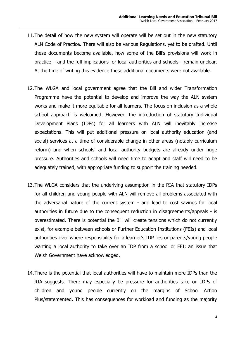- 11.The detail of how the new system will operate will be set out in the new statutory ALN Code of Practice. There will also be various Regulations, yet to be drafted. Until these documents become available, how some of the Bill's provisions will work in practice – and the full implications for local authorities and schools - remain unclear. At the time of writing this evidence these additional documents were not available.
- 12.The WLGA and local government agree that the Bill and wider Transformation Programme have the potential to develop and improve the way the ALN system works and make it more equitable for all learners. The focus on inclusion as a whole school approach is welcomed. However, the introduction of statutory Individual Development Plans (IDPs) for all learners with ALN will inevitably increase expectations. This will put additional pressure on local authority education (and social) services at a time of considerable change in other areas (notably curriculum reform) and when schools' and local authority budgets are already under huge pressure. Authorities and schools will need time to adapt and staff will need to be adequately trained, with appropriate funding to support the training needed.
- 13.The WLGA considers that the underlying assumption in the RIA that statutory IDPs for all children and young people with ALN will remove all problems associated with the adversarial nature of the current system - and lead to cost savings for local authorities in future due to the consequent reduction in disagreements/appeals - is overestimated. There is potential the Bill will create tensions which do not currently exist, for example between schools or Further Education Institutions (FEIs) and local authorities over where responsibility for a learner's IDP lies or parents/young people wanting a local authority to take over an IDP from a school or FEI; an issue that Welsh Government have acknowledged.
- 14.There is the potential that local authorities will have to maintain more IDPs than the RIA suggests. There may especially be pressure for authorities take on IDPs of children and young people currently on the margins of School Action Plus/statemented. This has consequences for workload and funding as the majority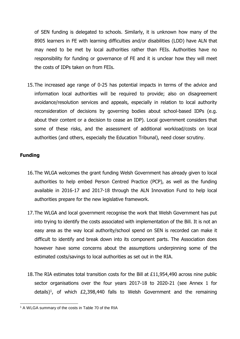of SEN funding is delegated to schools. Similarly, it is unknown how many of the 8905 learners in FE with learning difficulties and/or disabilities (LDD) have ALN that may need to be met by local authorities rather than FEIs. Authorities have no responsibility for funding or governance of FE and it is unclear how they will meet the costs of IDPs taken on from FEIs.

15.The increased age range of 0-25 has potential impacts in terms of the advice and information local authorities will be required to provide; also on disagreement avoidance/resolution services and appeals, especially in relation to local authority reconsideration of decisions by governing bodies about school-based IDPs (e.g. about their content or a decision to cease an IDP). Local government considers that some of these risks, and the assessment of additional workload/costs on local authorities (and others, especially the Education Tribunal), need closer scrutiny.

## **Funding**

- 16.The WLGA welcomes the grant funding Welsh Government has already given to local authorities to help embed Person Centred Practice (PCP), as well as the funding available in 2016-17 and 2017-18 through the ALN Innovation Fund to help local authorities prepare for the new legislative framework.
- 17.The WLGA and local government recognise the work that Welsh Government has put into trying to identify the costs associated with implementation of the Bill. It is not an easy area as the way local authority/school spend on SEN is recorded can make it difficult to identify and break down into its component parts. The Association does however have some concerns about the assumptions underpinning some of the estimated costs/savings to local authorities as set out in the RIA.
- 18.The RIA estimates total transition costs for the Bill at £11,954,490 across nine public sector organisations over the four years 2017-18 to 2020-21 (see Annex 1 for details)<sup>1</sup>, of which  $E2,398,440$  falls to Welsh Government and the remaining

l <sup>1</sup> A WLGA summary of the costs in Table 70 of the RIA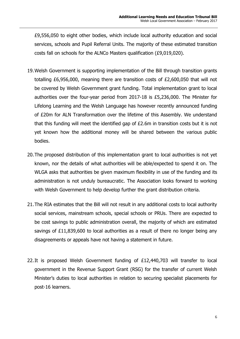£9,556,050 to eight other bodies, which include local authority education and social services, schools and Pupil Referral Units. The majority of these estimated transition costs fall on schools for the ALNCo Masters qualification (£9,019,020).

- 19.Welsh Government is supporting implementation of the Bill through transition grants totalling £6,956,000, meaning there are transition costs of £2,600,050 that will not be covered by Welsh Government grant funding. Total implementation grant to local authorities over the four-year period from 2017-18 is £5,236,000. The Minister for Lifelong Learning and the Welsh Language has however recently announced funding of £20m for ALN Transformation over the lifetime of this Assembly. We understand that this funding will meet the identified gap of £2.6m in transition costs but it is not yet known how the additional money will be shared between the various public bodies.
- 20.The proposed distribution of this implementation grant to local authorities is not yet known, nor the details of what authorities will be able/expected to spend it on. The WLGA asks that authorities be given maximum flexibility in use of the funding and its administration is not unduly bureaucratic. The Association looks forward to working with Welsh Government to help develop further the grant distribution criteria.
- 21.The RIA estimates that the Bill will not result in any additional costs to local authority social services, mainstream schools, special schools or PRUs. There are expected to be cost savings to public administration overall, the majority of which are estimated savings of £11,839,600 to local authorities as a result of there no longer being any disagreements or appeals have not having a statement in future.
- 22.It is proposed Welsh Government funding of £12,440,703 will transfer to local government in the Revenue Support Grant (RSG) for the transfer of current Welsh Minister's duties to local authorities in relation to securing specialist placements for post-16 learners.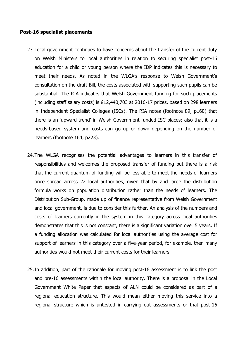#### **Post-16 specialist placements**

- 23.Local government continues to have concerns about the transfer of the current duty on Welsh Ministers to local authorities in relation to securing specialist post-16 education for a child or young person where the IDP indicates this is necessary to meet their needs. As noted in the WLGA's response to Welsh Government's consultation on the draft Bill, the costs associated with supporting such pupils can be substantial. The RIA indicates that Welsh Government funding for such placements (including staff salary costs) is £12,440,703 at 2016-17 prices, based on 298 learners in Independent Specialist Colleges (ISCs). The RIA notes (footnote 89, p160) that there is an 'upward trend' in Welsh Government funded ISC places; also that it is a needs-based system and costs can go up or down depending on the number of learners (footnote 164, p223).
- 24.The WLGA recognises the potential advantages to learners in this transfer of responsibilities and welcomes the proposed transfer of funding but there is a risk that the current quantum of funding will be less able to meet the needs of learners once spread across 22 local authorities, given that by and large the distribution formula works on population distribution rather than the needs of learners. The Distribution Sub-Group, made up of finance representative from Welsh Government and local government, is due to consider this further. An analysis of the numbers and costs of learners currently in the system in this category across local authorities demonstrates that this is not constant, there is a significant variation over 5 years. If a funding allocation was calculated for local authorities using the average cost for support of learners in this category over a five-year period, for example, then many authorities would not meet their current costs for their learners.
- 25.In addition, part of the rationale for moving post-16 assessment is to link the post and pre-16 assessments within the local authority. There is a proposal in the Local Government White Paper that aspects of ALN could be considered as part of a regional education structure. This would mean either moving this service into a regional structure which is untested in carrying out assessments or that post-16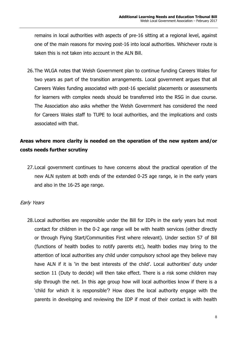remains in local authorities with aspects of pre-16 sitting at a regional level, against one of the main reasons for moving post-16 into local authorities. Whichever route is taken this is not taken into account in the ALN Bill.

26.The WLGA notes that Welsh Government plan to continue funding Careers Wales for two years as part of the transition arrangements. Local government argues that all Careers Wales funding associated with post-16 specialist placements or assessments for learners with complex needs should be transferred into the RSG in due course. The Association also asks whether the Welsh Government has considered the need for Careers Wales staff to TUPE to local authorities, and the implications and costs associated with that.

## **Areas where more clarity is needed on the operation of the new system and/or costs needs further scrutiny**

27.Local government continues to have concerns about the practical operation of the new ALN system at both ends of the extended 0-25 age range, ie in the early years and also in the 16-25 age range.

## Early Years

28.Local authorities are responsible under the Bill for IDPs in the early years but most contact for children in the 0-2 age range will be with health services (either directly or through Flying Start/Communities First where relevant). Under section 57 of Bill (functions of health bodies to notify parents etc), health bodies may bring to the attention of local authorities any child under compulsory school age they believe may have ALN if it is 'in the best interests of the child'. Local authorities' duty under section 11 (Duty to decide) will then take effect. There is a risk some children may slip through the net. In this age group how will local authorities know if there is a 'child for which it is responsible'? How does the local authority engage with the parents in developing and reviewing the IDP if most of their contact is with health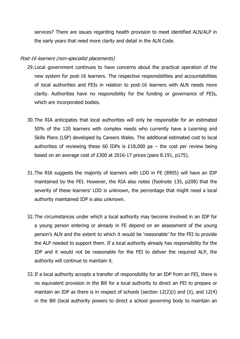services? There are issues regarding health provision to meet identified ALN/ALP in the early years that need more clarity and detail in the ALN Code.

#### Post-16 learners (non-specialist placements)

- 29.Local government continues to have concerns about the practical operation of the new system for post-16 learners. The respective responsibilities and accountabilities of local authorities and FEIs in relation to post-16 learners with ALN needs more clarity. Authorities have no responsibility for the funding or governance of FEIs, which are incorporated bodies.
- 30.The RIA anticipates that local authorities will only be responsible for an estimated 50% of the 120 learners with complex needs who currently have a Learning and Skills Plans (LSP) developed by Careers Wales. The additional estimated cost to local authorities of reviewing these 60 IDPs is £18,000 pa – the cost per review being based on an average cost of £300 at 2016-17 prices (para 8.191, p175).
- 31.The RIA suggests the majority of learners with LDD in FE (8905) will have an IDP maintained by the FEI. However, the RIA also notes (footnote 135, p208) that the severity of these learners' LDD is unknown, the percentage that might need a local authority maintained IDP is also unknown.
- 32.The circumstances under which a local authority may become involved in an IDP for a young person entering or already in FE depend on an assessment of the young person's ALN and the extent to which it would be 'reasonable' for the FEI to provide the ALP needed to support them. If a local authority already has responsibility for the IDP and it would not be reasonable for the FEI to deliver the required ALP, the authority will continue to maintain it.
- 33.If a local authority accepts a transfer of responsibility for an IDP from an FEI, there is no equivalent provision in the Bill for a local authority to direct an FEI to prepare or maintain an IDP as there is in respect of schools (section 12(2)(i) and (ii), and 12(4) in the Bill (local authority powers to direct a school governing body to maintain an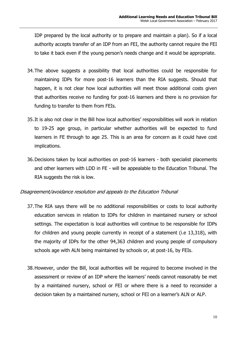IDP prepared by the local authority or to prepare and maintain a plan). So if a local authority accepts transfer of an IDP from an FEI, the authority cannot require the FEI to take it back even if the young person's needs change and it would be appropriate.

- 34.The above suggests a possibility that local authorities could be responsible for maintaining IDPs for more post-16 learners than the RIA suggests. Should that happen, it is not clear how local authorities will meet those additional costs given that authorities receive no funding for post-16 learners and there is no provision for funding to transfer to them from FEIs.
- 35.It is also not clear in the Bill how local authorities' responsibilities will work in relation to 19-25 age group, in particular whether authorities will be expected to fund learners in FE through to age 25. This is an area for concern as it could have cost implications.
- 36.Decisions taken by local authorities on post-16 learners both specialist placements and other learners with LDD in FE - will be appealable to the Education Tribunal. The RIA suggests the risk is low.

## Disagreement/avoidance resolution and appeals to the Education Tribunal

- 37.The RIA says there will be no additional responsibilities or costs to local authority education services in relation to IDPs for children in maintained nursery or school settings. The expectation is local authorities will continue to be responsible for IDPs for children and young people currently in receipt of a statement (i.e 13,318), with the majority of IDPs for the other 94,363 children and young people of compulsory schools age with ALN being maintained by schools or, at post-16, by FEIs.
- 38.However, under the Bill, local authorities will be required to become involved in the assessment or review of an IDP where the learners' needs cannot reasonably be met by a maintained nursery, school or FEI or where there is a need to reconsider a decision taken by a maintained nursery, school or FEI on a learner's ALN or ALP.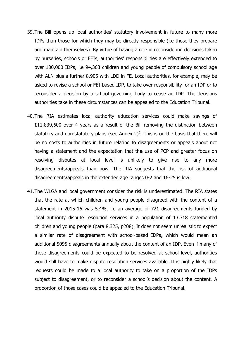- 39.The Bill opens up local authorities' statutory involvement in future to many more IDPs than those for which they may be directly responsible (i.e those they prepare and maintain themselves). By virtue of having a role in reconsidering decisions taken by nurseries, schools or FEIs, authorities' responsibilities are effectively extended to over 100,000 IDPs, i.e 94,363 children and young people of compulsory school age with ALN plus a further 8,905 with LDD in FE. Local authorities, for example, may be asked to revise a school or FEI-based IDP, to take over responsibility for an IDP or to reconsider a decision by a school governing body to cease an IDP. The decisions authorities take in these circumstances can be appealed to the Education Tribunal.
- 40.The RIA estimates local authority education services could make savings of £11,839,600 over 4 years as a result of the Bill removing the distinction between statutory and non-statutory plans (see Annex  $2)^2$ . This is on the basis that there will be no costs to authorities in future relating to disagreements or appeals about not having a statement and the expectation that th**e** use of PCP and greater focus on resolving disputes at local level is unlikely to give rise to any more disagreements/appeals than now. The RIA suggests that the risk of additional disagreements/appeals in the extended age ranges 0-2 and 16-25 is low.
- 41.The WLGA and local government consider the risk is underestimated. The RIA states that the rate at which children and young people disagreed with the content of a statement in 2015-16 was 5.4%, i.e an average of 721 disagreements funded by local authority dispute resolution services in a population of 13,318 statemented children and young people (para 8.325, p208). It does not seem unrealistic to expect a similar rate of disagreement with school-based IDPs, which would mean an additional 5095 disagreements annually about the content of an IDP. Even if many of these disagreements could be expected to be resolved at school level, authorities would still have to make dispute resolution services available. It is highly likely that requests could be made to a local authority to take on a proportion of the IDPs subject to disagreement, or to reconsider a school's decision about the content. A proportion of those cases could be appealed to the Education Tribunal.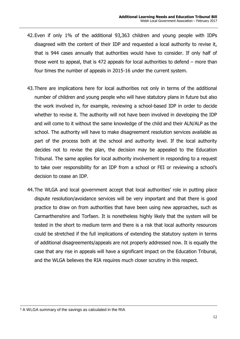- 42.Even if only 1% of the additional 93,363 children and young people with IDPs disagreed with the content of their IDP and requested a local authority to revise it, that is 944 cases annually that authorities would have to consider. If only half of those went to appeal, that is 472 appeals for local authorities to defend – more than four times the number of appeals in 2015-16 under the current system.
- 43.There are implications here for local authorities not only in terms of the additional number of children and young people who will have statutory plans in future but also the work involved in, for example, reviewing a school-based IDP in order to decide whether to revise it. The authority will not have been involved in developing the IDP and will come to it without the same knowledge of the child and their ALN/ALP as the school. The authority will have to make disagreement resolution services available as part of the process both at the school and authority level. If the local authority decides not to revise the plan, the decision may be appealed to the Education Tribunal. The same applies for local authority involvement in responding to a request to take over responsibility for an IDP from a school or FEI or reviewing a school's decision to cease an IDP.
- 44.The WLGA and local government accept that local authorities' role in putting place dispute resolution/avoidance services will be very important and that there is good practice to draw on from authorities that have been using new approaches, such as Carmarthenshire and Torfaen. It is nonetheless highly likely that the system will be tested in the short to medium term and there is a risk that local authority resources could be stretched if the full implications of extending the statutory system in terms of additional disagreements/appeals are not properly addressed now. It is equally the case that any rise in appeals will have a significant impact on the Education Tribunal, and the WLGA believes the RIA requires much closer scrutiny in this respect.

l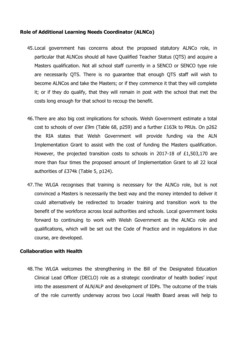#### **Role of Additional Learning Needs Coordinator (ALNCo)**

- 45.Local government has concerns about the proposed statutory ALNCo role, in particular that ALNCos should all have Qualified Teacher Status (QTS) and acquire a Masters qualification. Not all school staff currently in a SENCO or SENCO type role are necessarily QTS. There is no guarantee that enough QTS staff will wish to become ALNCos and take the Masters; or if they commence it that they will complete it; or if they do qualify, that they will remain in post with the school that met the costs long enough for that school to recoup the benefit.
- 46.There are also big cost implications for schools. Welsh Government estimate a total cost to schools of over £9m (Table 68, p259) and a further £163k to PRUs. On p262 the RIA states that Welsh Government will provide funding via the ALN Implementation Grant to assist with the cost of funding the Masters qualification. However, the projected transition costs to schools in 2017-18 of £1,503,170 are more than four times the proposed amount of Implementation Grant to all 22 local authorities of £374k (Table 5, p124).
- 47.The WLGA recognises that training is necessary for the ALNCo role, but is not convinced a Masters is necessarily the best way and the money intended to deliver it could alternatively be redirected to broader training and transition work to the benefit of the workforce across local authorities and schools. Local government looks forward to continuing to work with Welsh Government as the ALNCo role and qualifications, which will be set out the Code of Practice and in regulations in due course, are developed.

#### **Collaboration with Health**

48.The WLGA welcomes the strengthening in the Bill of the Designated Education Clinical Lead Officer (DECLO) role as a strategic coordinator of health bodies' input into the assessment of ALN/ALP and development of IDPs. The outcome of the trials of the role currently underway across two Local Health Board areas will help to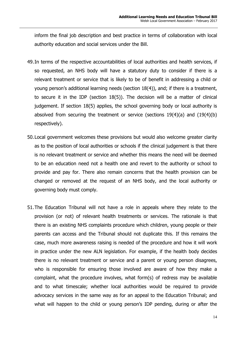inform the final job description and best practice in terms of collaboration with local authority education and social services under the Bill.

- 49.In terms of the respective accountabilities of local authorities and health services, if so requested, an NHS body will have a statutory duty to consider if there is a relevant treatment or service that is likely to be of benefit in addressing a child or young person's additional learning needs (section 18(4)), and; if there is a treatment, to secure it in the IDP (section 18(5)). The decision will be a matter of clinical judgement. If section 18(5) applies, the school governing body or local authority is absolved from securing the treatment or service (sections 19(4)(a) and (19(4)(b) respectively).
- 50.Local government welcomes these provisions but would also welcome greater clarity as to the position of local authorities or schools if the clinical judgement is that there is no relevant treatment or service and whether this means the need will be deemed to be an education need not a health one and revert to the authority or school to provide and pay for. There also remain concerns that the health provision can be changed or removed at the request of an NHS body, and the local authority or governing body must comply.
- 51.The Education Tribunal will not have a role in appeals where they relate to the provision (or not) of relevant health treatments or services. The rationale is that there is an existing NHS complaints procedure which children, young people or their parents can access and the Tribunal should not duplicate this. If this remains the case, much more awareness raising is needed of the procedure and how it will work in practice under the new ALN legislation. For example, if the health body decides there is no relevant treatment or service and a parent or young person disagrees, who is responsible for ensuring those involved are aware of how they make a complaint, what the procedure involves, what form(s) of redress may be available and to what timescale; whether local authorities would be required to provide advocacy services in the same way as for an appeal to the Education Tribunal; and what will happen to the child or young person's IDP pending, during or after the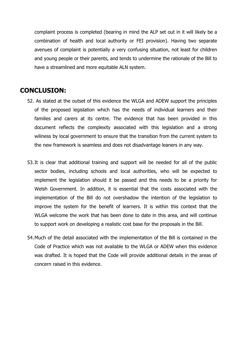complaint process is completed (bearing in mind the ALP set out in it will likely be a combination of health and local authority or FEI provision). Having two separate avenues of complaint is potentially a very confusing situation, not least for children and young people or their parents, and tends to undermine the rationale of the Bill to have a streamlined and more equitable ALN system.

# **CONCLUSION:**

- 52. As stated at the outset of this evidence the WLGA and ADEW support the principles of the proposed legislation which has the needs of individual learners and their families and carers at its centre. The evidence that has been provided in this document reflects the complexity associated with this legislation and a strong wiliness by local government to ensure that the transition from the current system to the new framework is seamless and does not disadvantage leaners in any way.
- 53.It is clear that additional training and support will be needed for all of the public sector bodies, including schools and local authorities, who will be expected to implement the legislation should it be passed and this needs to be a priority for Welsh Government. In addition, it is essential that the costs associated with the implementation of the Bill do not overshadow the intention of the legislation to improve the system for the benefit of learners. It is within this context that the WLGA welcome the work that has been done to date in this area, and will continue to support work on developing a realistic cost base for the proposals in the Bill.
- 54.Much of the detail associated with the implementation of the Bill is contained in the Code of Practice which was not available to the WLGA or ADEW when this evidence was drafted. It is hoped that the Code will provide additional details in the areas of concern raised in this evidence.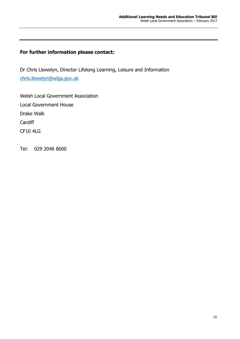## **For further information please contact:**

Dr Chris Llewelyn, Director Lifelong Learning, Leisure and Information [chris.llewelyn@wlga.gov.uk](mailto:chris.llewelyn@wlga.gov.uk)

Welsh Local Government Association Local Government House Drake Walk **Cardiff** CF10 4LG

Tel: 029 2046 8600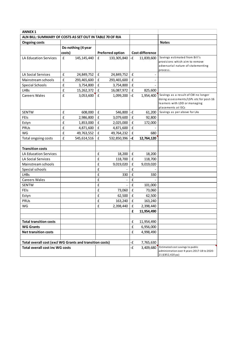| <b>ANNEX 1</b>                                           |                    |               |                    |                         |                    |                        |                                                                                  |
|----------------------------------------------------------|--------------------|---------------|--------------------|-------------------------|--------------------|------------------------|----------------------------------------------------------------------------------|
| ALN BILL: SUMMARY OF COSTS AS SET OUT IN TABLE 70 OF RIA |                    |               |                    |                         |                    |                        |                                                                                  |
| <b>Ongoing costs</b>                                     |                    |               |                    |                         |                    |                        | <b>Notes</b>                                                                     |
|                                                          | Do nothing (4 year |               |                    |                         |                    |                        |                                                                                  |
|                                                          | costs)             |               |                    | <b>Preferred option</b> |                    | <b>Cost difference</b> |                                                                                  |
| LA Education Services                                    | $\pmb{\mathsf{f}}$ | 145, 145, 440 | $\pmb{\mathsf{f}}$ | 133, 305, 840           | -£                 | 11,839,600             | Savings estimated from Bill's                                                    |
|                                                          |                    |               |                    |                         |                    |                        | provisions which aim to remove                                                   |
|                                                          |                    |               |                    |                         |                    |                        | adversarial nature of statementing<br>process.                                   |
| LA Social Services                                       | £                  | 24,849,752    | $\pmb{\mathsf{f}}$ | 24,849,752              | £                  |                        |                                                                                  |
| Mainstream schools                                       | £                  | 293,465,600   | £                  | 293,465,600             | £                  |                        |                                                                                  |
| <b>Special Schools</b>                                   | £                  | 3,754,800     | $\pmb{\mathsf{f}}$ | 3,754,800               | $\mathbf f$        |                        |                                                                                  |
| <b>LHBs</b>                                              | $\pmb{\mathsf{f}}$ | 15,262,372    | $\pmb{\mathsf{f}}$ | 16,087,972              | $\mathbf f$        | 825,600                |                                                                                  |
| <b>Careers Wales</b>                                     | £                  | 3,053,600     | £                  | 1,099,200               | -£                 | 1,954,400              | Savings as a result of CW no longer                                              |
|                                                          |                    |               |                    |                         |                    |                        | doing assessments/LSPs etc for post-16                                           |
|                                                          |                    |               |                    |                         |                    |                        | learners with LDD or managing<br>placements at ISCs                              |
| <b>SENTW</b>                                             | £                  | 608,000       | £                  | 546,800                 | $-E$               | 61,200                 | Savings as per above for LAs                                                     |
| FEIS                                                     | £                  | 2,986,800     | $\pmb{\mathsf{f}}$ | 3,079,600               | $\pmb{\mathsf{f}}$ | 92,800                 |                                                                                  |
| Estyn                                                    | $\pmb{\mathsf{f}}$ | 1,853,000     | $\mathbf{f}$       | 2,025,000               | $\mathbf f$        | 172,000                |                                                                                  |
| PRUS                                                     | $\pmb{\mathsf{f}}$ | 4,871,600     | $\pmb{\mathsf{f}}$ | 4,871,600               | $\mathbf f$        |                        |                                                                                  |
| WG                                                       | £                  | 49,763,552    | $\pmb{\mathsf{f}}$ | 49,764,232              | $\mathbf f$        | 680                    |                                                                                  |
| Total ongoing costs                                      | $\pmb{\mathsf{f}}$ | 545,614,516   | $\pmb{\mathsf{f}}$ | 532,850,396             | -£                 | 12,764,120             |                                                                                  |
|                                                          |                    |               |                    |                         |                    |                        |                                                                                  |
| <b>Transition costs</b>                                  |                    |               |                    |                         |                    |                        |                                                                                  |
| LA Education Services                                    |                    |               | £                  | 18,200                  | $\mathbf f$        | 18,200                 |                                                                                  |
| LA Social Services                                       |                    |               | £                  | 118,700                 | $\mathbf f$        | 118,700                |                                                                                  |
| Mainstream schools                                       |                    |               | £                  | 9,019,020               | £                  | 9,019,020              |                                                                                  |
| Special schools                                          |                    |               | £                  |                         | £                  |                        |                                                                                  |
| <b>LHBs</b>                                              |                    |               | $\pmb{\mathsf{f}}$ | 330                     | £                  | 330                    |                                                                                  |
| <b>Careers Wales</b>                                     |                    |               | £                  |                         | £                  |                        |                                                                                  |
| <b>SENTW</b>                                             |                    |               | £                  |                         | £                  | 101,000                |                                                                                  |
| FEIS                                                     |                    |               | $\pmb{\mathsf{f}}$ | 73,060                  | $\mathbf f$        | 73,060                 |                                                                                  |
| Estyn                                                    |                    |               | £                  | 62,500                  | $\mathbf f$        | 62,500                 |                                                                                  |
| PRUs                                                     |                    |               | £                  | 163,240                 | £                  | 163,240                |                                                                                  |
| WG                                                       |                    |               | £                  | 2,398,440               | $\mathbf f$        | 2,398,440              |                                                                                  |
|                                                          |                    |               |                    |                         | £                  | 11,954,490             |                                                                                  |
|                                                          |                    |               |                    |                         |                    |                        |                                                                                  |
| <b>Total transition costs</b>                            |                    |               |                    |                         | $\mathbf f$        | 11,954,490             |                                                                                  |
| <b>WG Grants</b>                                         |                    |               |                    |                         | $\mathbf f$        | 6,956,000              |                                                                                  |
| <b>Net transition costs</b>                              |                    |               |                    |                         | £                  | 4,998,490              |                                                                                  |
|                                                          |                    |               |                    |                         |                    |                        |                                                                                  |
| Total overall cost (excl WG Grants and transition costs) |                    |               |                    | -£                      | 7,765,630          |                        |                                                                                  |
| <b>Total overall cost inc WG costs</b>                   |                    |               |                    |                         | -£                 | 3,409,680              | Estimated cost savings to public<br>administration over 4 years 2017-18 to 2020- |
|                                                          |                    |               |                    |                         |                    |                        | 21 (£852,420 pa)                                                                 |